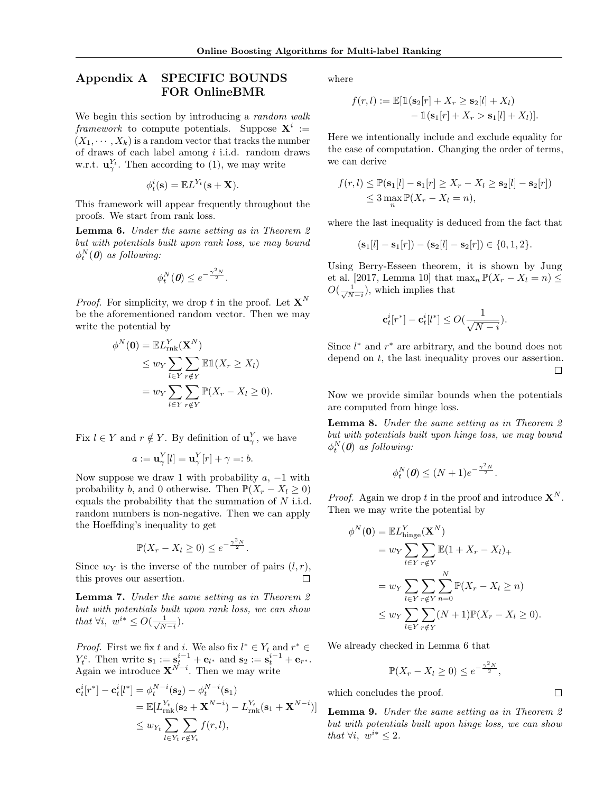## Appendix A SPECIFIC BOUNDS FOR OnlineBMR

We begin this section by introducing a *random walk* framework to compute potentials. Suppose  $X^i :=$  $(X_1, \dots, X_k)$  is a random vector that tracks the number of draws of each label among  $i$  i.i.d. random draws w.r.t.  $\mathbf{u}_{\gamma}^{Y_t}$ . Then according to (1), we may write

$$
\phi_t^i(\mathbf{s}) = \mathbb{E} L^{Y_t}(\mathbf{s} + \mathbf{X}).
$$

This framework will appear frequently throughout the proofs. We start from rank loss.

Lemma 6. Under the same setting as in Theorem 2 but with potentials built upon rank loss, we may bound  $\phi_t^N(\textbf{\textit{0}})$  as following:

$$
\phi_t^N(\mathbf{0}) \leq e^{-\frac{\gamma^2 N}{2}}.
$$

*Proof.* For simplicity, we drop t in the proof. Let  $X^N$ be the aforementioned random vector. Then we may write the potential by

$$
\phi^N(\mathbf{0}) = \mathbb{E}L_{\text{rnk}}^Y(\mathbf{X}^N)
$$
  
\n
$$
\leq w_Y \sum_{l \in Y} \sum_{r \notin Y} \mathbb{E} \mathbb{1}(X_r \geq X_l)
$$
  
\n
$$
= w_Y \sum_{l \in Y} \sum_{r \notin Y} \mathbb{P}(X_r - X_l \geq 0).
$$

Fix  $l \in Y$  and  $r \notin Y$ . By definition of  $\mathbf{u}_{\gamma}^{Y}$ , we have

$$
a := \mathbf{u}_{\gamma}^Y[l] = \mathbf{u}_{\gamma}^Y[r] + \gamma =: b.
$$

Now suppose we draw 1 with probability  $a, -1$  with probability b, and 0 otherwise. Then  $\mathbb{P}(X_r - X_l \geq 0)$ equals the probability that the summation of  $N$  i.i.d. random numbers is non-negative. Then we can apply the Hoeffding's inequality to get

$$
\mathbb{P}(X_r - X_l \ge 0) \le e^{-\frac{\gamma^2 N}{2}}.
$$

Since  $w_Y$  is the inverse of the number of pairs  $(l, r)$ , this proves our assertion. П

Lemma 7. Under the same setting as in Theorem 2 but with potentials built upon rank loss, we can show that  $\forall i, w^{i*} \leq O(\frac{1}{\sqrt{N}})$  $\frac{1}{N-i}$ ).

*Proof.* First we fix t and i. We also fix  $l^* \in Y_t$  and  $r^* \in Y_t$  $Y_t^c$ . Then write  $\mathbf{s}_1 := \mathbf{s}_t^{i-1} + \mathbf{e}_{l^*}$  and  $\mathbf{s}_2 := \mathbf{s}_t^{i-1} + \mathbf{e}_{r^*}$ . Again we introduce  $X^{N-i}$ . Then we may write

$$
\begin{split} \mathbf{c}_{t}^{i}[r^{*}] - \mathbf{c}_{t}^{i}[l^{*}] &= \phi_{t}^{N-i}(\mathbf{s}_{2}) - \phi_{t}^{N-i}(\mathbf{s}_{1}) \\ &= \mathbb{E}[L_{\text{rnk}}^{Y_{t}}(\mathbf{s}_{2} + \mathbf{X}^{N-i}) - L_{\text{rnk}}^{Y_{t}}(\mathbf{s}_{1} + \mathbf{X}^{N-i})] \\ &\leq w_{Y_{t}} \sum_{l \in Y_{t}} \sum_{r \notin Y_{t}} f(r, l), \end{split}
$$

where

$$
f(r,l) := \mathbb{E}[\mathbb{1}(\mathbf{s}_2[r] + X_r \ge \mathbf{s}_2[l] + X_l)
$$

$$
- \mathbb{1}(\mathbf{s}_1[r] + X_r > \mathbf{s}_1[l] + X_l)].
$$

Here we intentionally include and exclude equality for the ease of computation. Changing the order of terms, we can derive

$$
f(r, l) \leq \mathbb{P}(\mathbf{s}_1[l] - \mathbf{s}_1[r] \geq X_r - X_l \geq \mathbf{s}_2[l] - \mathbf{s}_2[r])
$$
  
\$\leq 3 \max\_n \mathbb{P}(X\_r - X\_l = n),\$

where the last inequality is deduced from the fact that

$$
(\mathbf{s}_1[l] - \mathbf{s}_1[r]) - (\mathbf{s}_2[l] - \mathbf{s}_2[r]) \in \{0, 1, 2\}.
$$

Using Berry-Esseen theorem, it is shown by Jung et al. [2017, Lemma 10] that  $\max_n \mathbb{P}(X_r - X_l = n) \leq$  $O(\frac{1}{\sqrt{N}})$  $\frac{1}{N-i}$ , which implies that

$$
\mathbf{c}_t^i[r^*] - \mathbf{c}_t^i[l^*] \le O(\frac{1}{\sqrt{N-i}}).
$$

Since  $l^*$  and  $r^*$  are arbitrary, and the bound does not depend on  $t$ , the last inequality proves our assertion.  $\Box$ 

Now we provide similar bounds when the potentials are computed from hinge loss.

Lemma 8. Under the same setting as in Theorem 2 but with potentials built upon hinge loss, we may bound  $\phi_t^N(\textbf{\textit{0}})$  as following:

$$
\phi_t^N(\mathbf{0}) \le (N+1)e^{-\frac{\gamma^2 N}{2}}.
$$

*Proof.* Again we drop t in the proof and introduce  $X^N$ . Then we may write the potential by

$$
\phi^N(\mathbf{0}) = \mathbb{E}L^Y_{\text{hinge}}(\mathbf{X}^N)
$$
  
=  $w_Y \sum_{l \in Y} \sum_{r \notin Y} \mathbb{E}(1 + X_r - X_l)_+$   
=  $w_Y \sum_{l \in Y} \sum_{r \notin Y} \sum_{n=0}^N \mathbb{P}(X_r - X_l \ge n)$   
 $\le w_Y \sum_{l \in Y} \sum_{r \notin Y} (N+1) \mathbb{P}(X_r - X_l \ge 0).$ 

We already checked in Lemma 6 that

$$
\mathbb{P}(X_r - X_l \ge 0) \le e^{-\frac{\gamma^2 N}{2}},
$$

 $\Box$ 

which concludes the proof.

Lemma 9. Under the same setting as in Theorem 2 but with potentials built upon hinge loss, we can show that  $\forall i, w^{i*} \leq 2$ .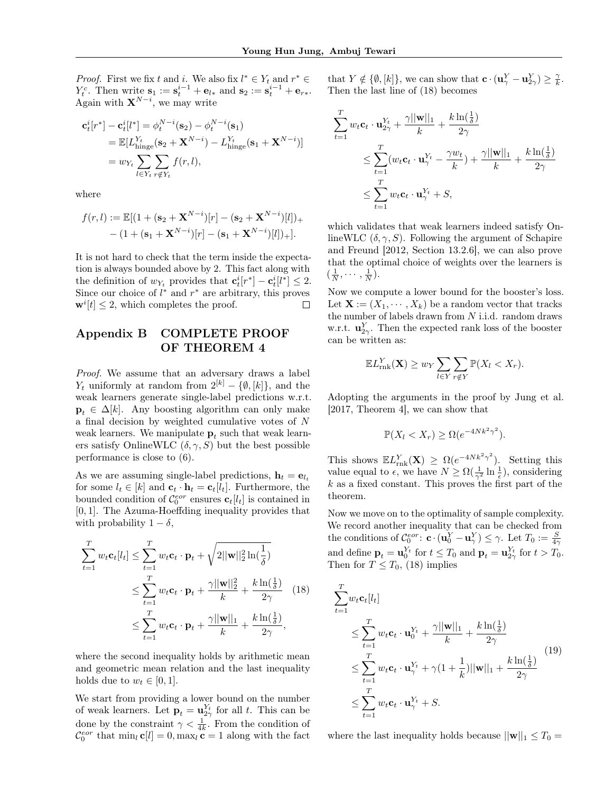*Proof.* First we fix t and i. We also fix  $l^* \in Y_t$  and  $r^* \in Y_t$  $Y_t^c$ . Then write  $\mathbf{s}_1 := \mathbf{s}_t^{i-1} + \mathbf{e}_{l*}$  and  $\mathbf{s}_2 := \mathbf{s}_t^{i-1} + \mathbf{e}_{r*}$ . Again with  $X^{N-i}$ , we may write

$$
\begin{split} \mathbf{c}_{t}^{i}[r^{*}] - \mathbf{c}_{t}^{i}[l^{*}] &= \phi_{t}^{N-i}(\mathbf{s}_{2}) - \phi_{t}^{N-i}(\mathbf{s}_{1}) \\ &= \mathbb{E}[L_{\text{hinge}}^{Y_{t}}(\mathbf{s}_{2} + \mathbf{X}^{N-i}) - L_{\text{hinge}}^{Y_{t}}(\mathbf{s}_{1} + \mathbf{X}^{N-i})] \\ &= w_{Y_{t}} \sum_{l \in Y_{t}} \sum_{r \notin Y_{t}} f(r, l), \end{split}
$$

where

$$
f(r, l) := \mathbb{E}[(1 + (\mathbf{s}_2 + \mathbf{X}^{N-i})[r] - (\mathbf{s}_2 + \mathbf{X}^{N-i})[l])_{+}
$$

$$
- (1 + (\mathbf{s}_1 + \mathbf{X}^{N-i})[r] - (\mathbf{s}_1 + \mathbf{X}^{N-i})[l])_{+}].
$$

It is not hard to check that the term inside the expectation is always bounded above by 2. This fact along with the definition of  $w_{Y_t}$  provides that  $\mathbf{c}_t^i[r^*] - \mathbf{c}_t^i[l^*] \leq 2$ . Since our choice of  $l^*$  and  $r^*$  are arbitrary, this proves  $\mathbf{w}^i[t] \leq 2$ , which completes the proof.  $\Box$ 

## Appendix B COMPLETE PROOF OF THEOREM 4

Proof. We assume that an adversary draws a label  $Y_t$  uniformly at random from  $2^{[k]} - \{\emptyset, [k]\},$  and the weak learners generate single-label predictions w.r.t.  $\mathbf{p}_t \in \Delta[k]$ . Any boosting algorithm can only make a final decision by weighted cumulative votes of N weak learners. We manipulate  $\mathbf{p}_t$  such that weak learners satisfy OnlineWLC  $(\delta, \gamma, S)$  but the best possible performance is close to (6).

As we are assuming single-label predictions,  $\mathbf{h}_t = \mathbf{e}_{l_t}$ for some  $l_t \in [k]$  and  $\mathbf{c}_t \cdot \mathbf{h}_t = \mathbf{c}_t[l_t]$ . Furthermore, the bounded condition of  $\mathcal{C}_0^{eor}$  ensures  $\mathbf{c}_t[l_t]$  is contained in [0, 1]. The Azuma-Hoeffding inequality provides that with probability  $1 - \delta$ ,

$$
\sum_{t=1}^{T} w_t \mathbf{c}_t[l_t] \le \sum_{t=1}^{T} w_t \mathbf{c}_t \cdot \mathbf{p}_t + \sqrt{2 ||\mathbf{w}||_2^2 \ln(\frac{1}{\delta})}
$$
\n
$$
\le \sum_{t=1}^{T} w_t \mathbf{c}_t \cdot \mathbf{p}_t + \frac{\gamma ||\mathbf{w}||_2^2}{k} + \frac{k \ln(\frac{1}{\delta})}{2\gamma} \quad (18)
$$
\n
$$
\le \sum_{t=1}^{T} w_t \mathbf{c}_t \cdot \mathbf{p}_t + \frac{\gamma ||\mathbf{w}||_1}{k} + \frac{k \ln(\frac{1}{\delta})}{2\gamma},
$$

where the second inequality holds by arithmetic mean and geometric mean relation and the last inequality holds due to  $w_t \in [0, 1]$ .

We start from providing a lower bound on the number of weak learners. Let  $\mathbf{p}_t = \mathbf{u}_{2\gamma}^{Y_t}$  for all t. This can be done by the constraint  $\gamma < \frac{1}{4k}$ . From the condition of  $\mathcal{C}_0^{eor}$  that  $\min_l \mathbf{c}[l] = 0, \max_l \mathbf{c} = 1$  along with the fact

that  $Y \notin \{\emptyset, [k]\}$ , we can show that  $\mathbf{c} \cdot (\mathbf{u}_\gamma^Y - \mathbf{u}_{2\gamma}^Y) \geq \frac{\gamma}{k}$ . Then the last line of (18) becomes

$$
\sum_{t=1}^{T} w_t \mathbf{c}_t \cdot \mathbf{u}_{2\gamma}^{Y_t} + \frac{\gamma ||\mathbf{w}||_1}{k} + \frac{k \ln(\frac{1}{\delta})}{2\gamma}
$$
\n
$$
\leq \sum_{t=1}^{T} (w_t \mathbf{c}_t \cdot \mathbf{u}_{\gamma}^{Y_t} - \frac{\gamma w_t}{k}) + \frac{\gamma ||\mathbf{w}||_1}{k} + \frac{k \ln(\frac{1}{\delta})}{2\gamma}
$$
\n
$$
\leq \sum_{t=1}^{T} w_t \mathbf{c}_t \cdot \mathbf{u}_{\gamma}^{Y_t} + S,
$$

which validates that weak learners indeed satisfy OnlineWLC  $(\delta, \gamma, S)$ . Following the argument of Schapire and Freund [2012, Section 13.2.6], we can also prove that the optimal choice of weights over the learners is  $\left(\frac{1}{N},\cdots,\frac{1}{N}\right)$ .

Now we compute a lower bound for the booster's loss. Let  $\mathbf{X} := (X_1, \dots, X_k)$  be a random vector that tracks the number of labels drawn from  $N$  i.i.d. random draws w.r.t.  $\mathbf{u}_{2\gamma}^Y$ . Then the expected rank loss of the booster can be written as:

$$
\mathbb{E}L_{\text{rnk}}^Y(\mathbf{X}) \geq w_Y \sum_{l \in Y} \sum_{r \notin Y} \mathbb{P}(X_l < X_r).
$$

Adopting the arguments in the proof by Jung et al. [2017, Theorem 4], we can show that

$$
\mathbb{P}(X_l < X_r) \ge \Omega(e^{-4Nk^2\gamma^2}).
$$

This shows  $\mathbb{E}L_{\text{rnk}}^Y(\mathbf{X}) \ge \Omega(e^{-4Nk^2\gamma^2})$ . Setting this value equal to  $\epsilon$ , we have  $N \geq \Omega(\frac{1}{\gamma^2} \ln \frac{1}{\epsilon})$ , considering  $k$  as a fixed constant. This proves the first part of the theorem.

Now we move on to the optimality of sample complexity. We record another inequality that can be checked from the conditions of  $\mathcal{C}_0^{eor}$ :  $\mathbf{c} \cdot (\mathbf{u}_0^Y - \mathbf{u}_\gamma^Y) \leq \gamma$ . Let  $T_0 := \frac{S}{4\gamma}$ and define  $\mathbf{p}_t = \mathbf{u}_0^{Y_t}$  for  $t \leq T_0$  and  $\mathbf{p}_t = \mathbf{u}_{2\gamma}^{Y_t}$  for  $t > T_0$ . Then for  $T \leq T_0$ , (18) implies

$$
\sum_{t=1}^{T} w_t \mathbf{c}_t[l_t]
$$
\n
$$
\leq \sum_{t=1}^{T} w_t \mathbf{c}_t \cdot \mathbf{u}_0^{Y_t} + \frac{\gamma ||\mathbf{w}||_1}{k} + \frac{k \ln(\frac{1}{\delta})}{2\gamma}
$$
\n
$$
\leq \sum_{t=1}^{T} w_t \mathbf{c}_t \cdot \mathbf{u}_\gamma^{Y_t} + \gamma (1 + \frac{1}{k}) ||\mathbf{w}||_1 + \frac{k \ln(\frac{1}{\delta})}{2\gamma}
$$
\n
$$
\leq \sum_{t=1}^{T} w_t \mathbf{c}_t \cdot \mathbf{u}_\gamma^{Y_t} + S.
$$
\n(19)

where the last inequality holds because  $||\mathbf{w}||_1 \leq T_0 =$